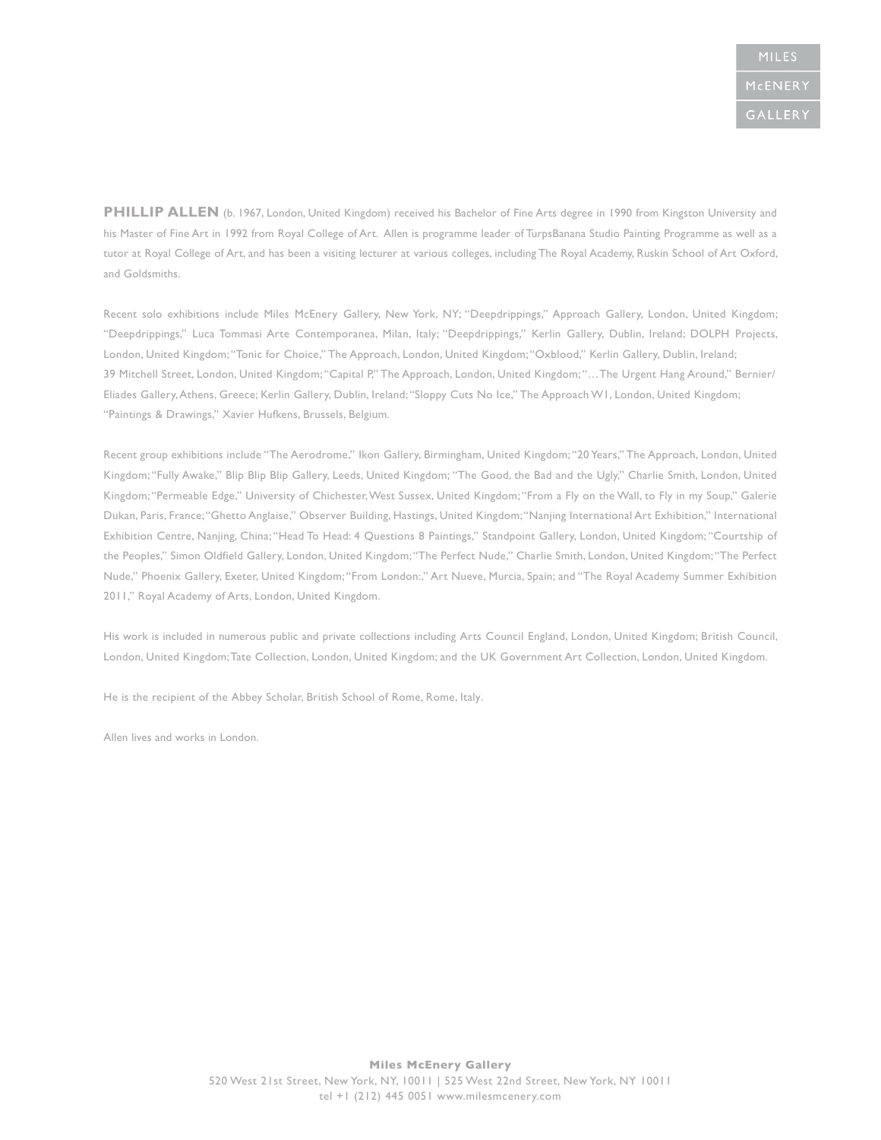PHILLIP ALLEN (b. 1967, London, United Kingdom) received his Bachelor of Fine Arts degree in 1990 from Kingston University and his Master of Fine Art in 1992 from Royal College of Art. Allen is programme leader of TurpsBanana Studio Painting Programme as well as a tutor at Royal College of Art, and has been a visiting lecturer at various colleges, including The Royal Academy, Ruskin School of Art Oxford, and Goldsmiths.

Recent solo exhibitions include Miles McEnery Gallery, New York, NY; "Deepdrippings," Approach Gallery, London, United Kingdom; "Deepdrippings," Luca Tommasi Arte Contemporanea, Milan, Italy; "Deepdrippings," Kerlin Gallery, Dublin, Ireland; DOLPH Projects, London, United Kingdom; "Tonic for Choice," The Approach, London, United Kingdom; "Oxblood," Kerlin Gallery, Dublin, Ireland; 39 Mitchell Street, London, United Kingdom; "Capital P," The Approach, London, United Kingdom; "…The Urgent Hang Around," Bernier/ Eliades Gallery, Athens, Greece; Kerlin Gallery, Dublin, Ireland; "Sloppy Cuts No Ice," The Approach W1, London, United Kingdom; "Paintings & Drawings," Xavier Hufkens, Brussels, Belgium.

Recent group exhibitions include "The Aerodrome," Ikon Gallery, Birmingham, United Kingdom; "20 Years," The Approach, London, United Kingdom; "Fully Awake," Blip Blip Blip Gallery, Leeds, United Kingdom; "The Good, the Bad and the Ugly," Charlie Smith, London, United Kingdom; "Permeable Edge," University of Chichester, West Sussex, United Kingdom; "From a Fly on the Wall, to Fly in my Soup," Galerie Dukan, Paris, France; "Ghetto Anglaise," Observer Building, Hastings, United Kingdom; "Nanjing International Art Exhibition," International Exhibition Centre, Nanjing, China; "Head To Head: 4 Questions 8 Paintings," Standpoint Gallery, London, United Kingdom; "Courtship of the Peoples," Simon Oldfield Gallery, London, United Kingdom; "The Perfect Nude," Charlie Smith, London, United Kingdom; "The Perfect Nude," Phoenix Gallery, Exeter, United Kingdom; "From London:," Art Nueve, Murcia, Spain; and "The Royal Academy Summer Exhibition 2011," Royal Academy of Arts, London, United Kingdom.

His work is included in numerous public and private collections including Arts Council England, London, United Kingdom; British Council, London, United Kingdom; Tate Collection, London, United Kingdom; and the UK Government Art Collection, London, United Kingdom.

He is the recipient of the Abbey Scholar, British School of Rome, Rome, Italy.

Allen lives and works in London.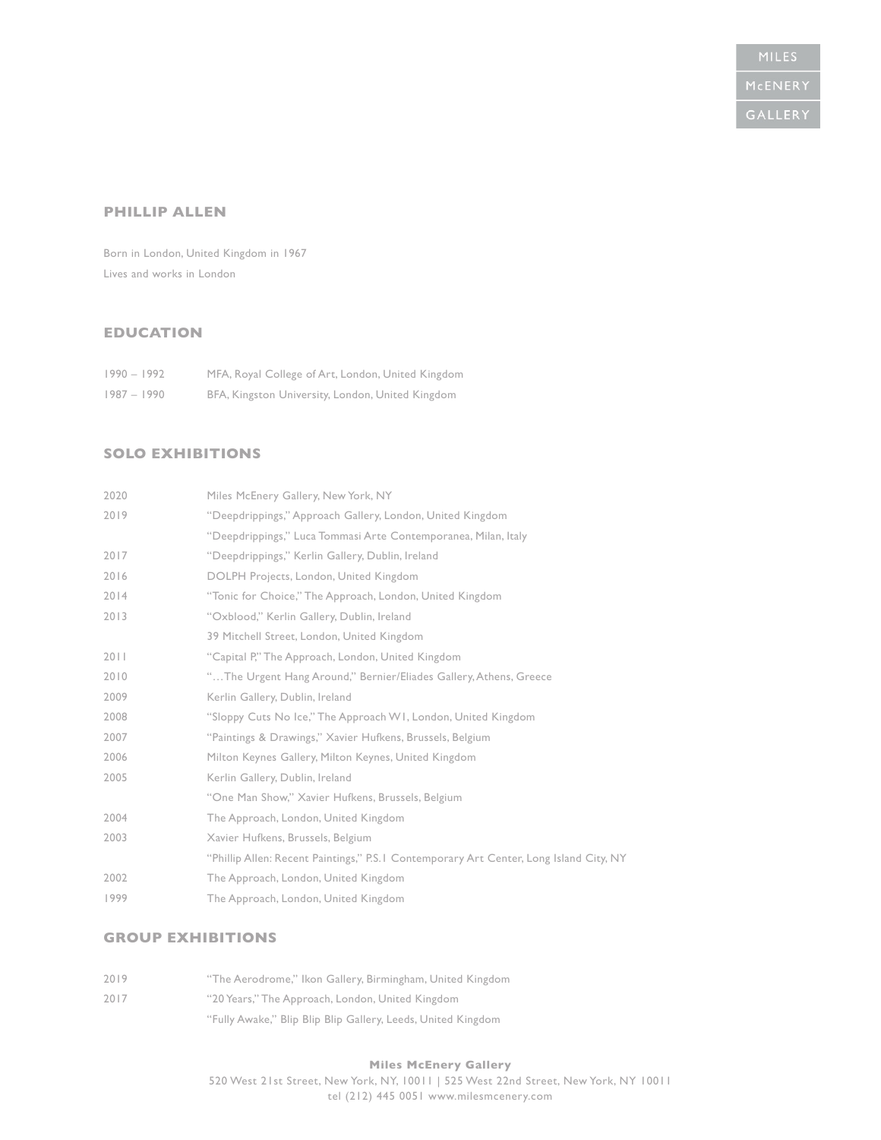#### **PHILLIP ALLEN**

Born in London, United Kingdom in 1967 Lives and works in London

# **EDUCATION**

| $1990 - 1992$ | MFA, Royal College of Art, London, United Kingdom |
|---------------|---------------------------------------------------|
| $1987 - 1990$ | BFA, Kingston University, London, United Kingdom  |

### **SOLO EXHIBITIONS**

| 2020 | Miles McEnery Gallery, New York, NY                                                     |
|------|-----------------------------------------------------------------------------------------|
| 2019 | "Deepdrippings," Approach Gallery, London, United Kingdom                               |
|      | "Deepdrippings," Luca Tommasi Arte Contemporanea, Milan, Italy                          |
| 2017 | "Deepdrippings," Kerlin Gallery, Dublin, Ireland                                        |
| 2016 | DOLPH Projects, London, United Kingdom                                                  |
| 2014 | "Tonic for Choice," The Approach, London, United Kingdom                                |
| 2013 | "Oxblood," Kerlin Gallery, Dublin, Ireland                                              |
|      | 39 Mitchell Street, London, United Kingdom                                              |
| 2011 | "Capital P," The Approach, London, United Kingdom                                       |
| 2010 | "The Urgent Hang Around," Bernier/Eliades Gallery, Athens, Greece                       |
| 2009 | Kerlin Gallery, Dublin, Ireland                                                         |
| 2008 | "Sloppy Cuts No Ice," The Approach W1, London, United Kingdom                           |
| 2007 | "Paintings & Drawings," Xavier Hufkens, Brussels, Belgium                               |
| 2006 | Milton Keynes Gallery, Milton Keynes, United Kingdom                                    |
| 2005 | Kerlin Gallery, Dublin, Ireland                                                         |
|      | "One Man Show," Xavier Hufkens, Brussels, Belgium                                       |
| 2004 | The Approach, London, United Kingdom                                                    |
| 2003 | Xavier Hufkens, Brussels, Belgium                                                       |
|      | "Phillip Allen: Recent Paintings," P.S. I Contemporary Art Center, Long Island City, NY |
| 2002 | The Approach, London, United Kingdom                                                    |
| 1999 | The Approach, London, United Kingdom                                                    |

# **GROUP EXHIBITIONS**

| 2019 | "The Aerodrome," Ikon Gallery, Birmingham, United Kingdom    |
|------|--------------------------------------------------------------|
| 2017 | "20 Years," The Approach, London, United Kingdom             |
|      | "Fully Awake," Blip Blip Blip Gallery, Leeds, United Kingdom |

#### **Miles McEnery Gallery** 520 West 21st Street, New York, NY, 10011 | 525 West 22nd Street, New York, NY 10011 tel (212) 445 0051 www.milesmcenery.com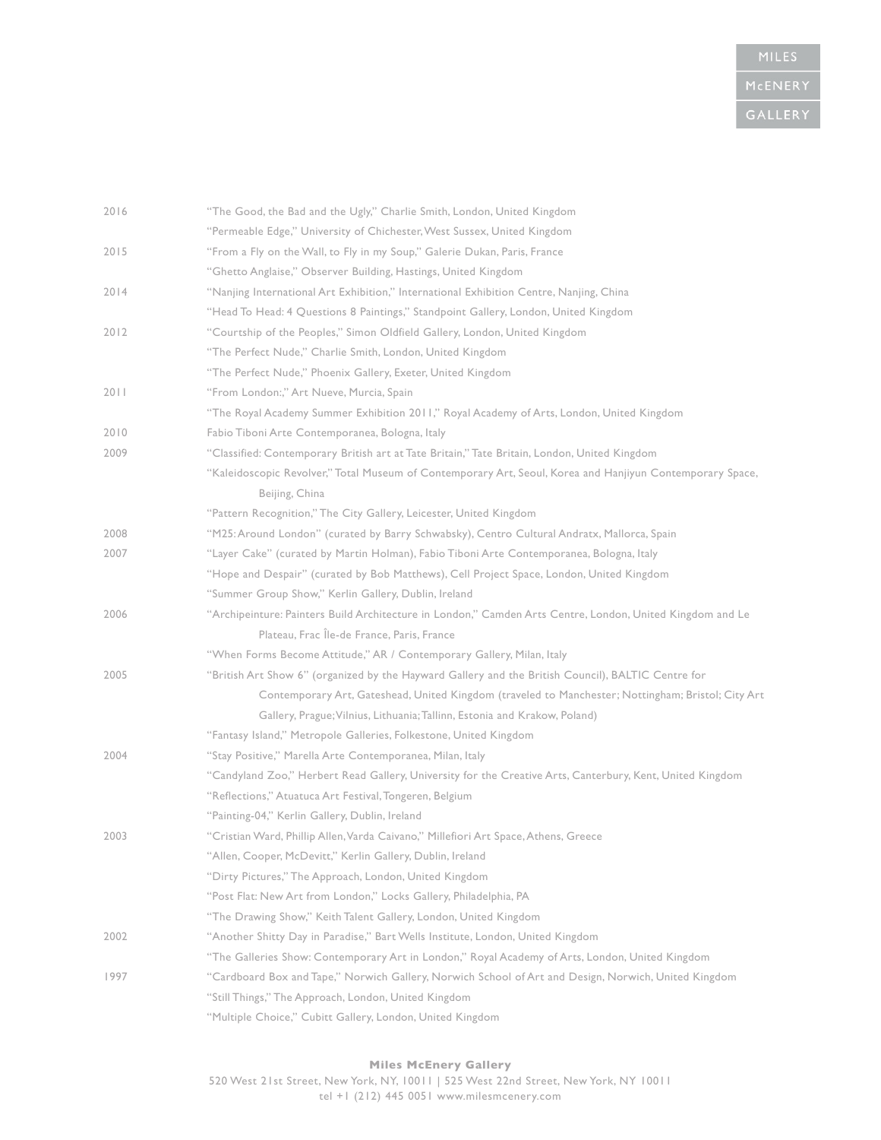| 2016 | "The Good, the Bad and the Ugly," Charlie Smith, London, United Kingdom                                   |
|------|-----------------------------------------------------------------------------------------------------------|
|      | "Permeable Edge," University of Chichester, West Sussex, United Kingdom                                   |
| 2015 | "From a Fly on the Wall, to Fly in my Soup," Galerie Dukan, Paris, France                                 |
|      | "Ghetto Anglaise," Observer Building, Hastings, United Kingdom                                            |
| 2014 | "Nanjing International Art Exhibition," International Exhibition Centre, Nanjing, China                   |
|      | "Head To Head: 4 Questions 8 Paintings," Standpoint Gallery, London, United Kingdom                       |
| 2012 | "Courtship of the Peoples," Simon Oldfield Gallery, London, United Kingdom                                |
|      | "The Perfect Nude," Charlie Smith, London, United Kingdom                                                 |
|      | "The Perfect Nude," Phoenix Gallery, Exeter, United Kingdom                                               |
| 2011 | "From London:," Art Nueve, Murcia, Spain                                                                  |
|      | "The Royal Academy Summer Exhibition 2011," Royal Academy of Arts, London, United Kingdom                 |
| 2010 | Fabio Tiboni Arte Contemporanea, Bologna, Italy                                                           |
| 2009 | "Classified: Contemporary British art at Tate Britain," Tate Britain, London, United Kingdom              |
|      | "Kaleidoscopic Revolver," Total Museum of Contemporary Art, Seoul, Korea and Hanjiyun Contemporary Space, |
|      | Beijing, China                                                                                            |
|      | "Pattern Recognition," The City Gallery, Leicester, United Kingdom                                        |
| 2008 | "M25: Around London" (curated by Barry Schwabsky), Centro Cultural Andratx, Mallorca, Spain               |
| 2007 | "Layer Cake" (curated by Martin Holman), Fabio Tiboni Arte Contemporanea, Bologna, Italy                  |
|      | "Hope and Despair" (curated by Bob Matthews), Cell Project Space, London, United Kingdom                  |
|      | "Summer Group Show," Kerlin Gallery, Dublin, Ireland                                                      |
| 2006 | "Archipeinture: Painters Build Architecture in London," Camden Arts Centre, London, United Kingdom and Le |
|      | Plateau, Frac Île-de France, Paris, France                                                                |
|      | "When Forms Become Attitude," AR / Contemporary Gallery, Milan, Italy                                     |
| 2005 | "British Art Show 6" (organized by the Hayward Gallery and the British Council), BALTIC Centre for        |
|      | Contemporary Art, Gateshead, United Kingdom (traveled to Manchester; Nottingham; Bristol; City Art        |
|      | Gallery, Prague; Vilnius, Lithuania; Tallinn, Estonia and Krakow, Poland)                                 |
|      | "Fantasy Island," Metropole Galleries, Folkestone, United Kingdom                                         |
| 2004 | "Stay Positive," Marella Arte Contemporanea, Milan, Italy                                                 |
|      | "Candyland Zoo," Herbert Read Gallery, University for the Creative Arts, Canterbury, Kent, United Kingdom |
|      | "Reflections," Atuatuca Art Festival, Tongeren, Belgium                                                   |
|      | "Painting-04," Kerlin Gallery, Dublin, Ireland                                                            |
| 2003 | "Cristian Ward, Phillip Allen, Varda Caivano," Millefiori Art Space, Athens, Greece                       |
|      | "Allen, Cooper, McDevitt," Kerlin Gallery, Dublin, Ireland                                                |
|      | "Dirty Pictures," The Approach, London, United Kingdom                                                    |
|      | "Post Flat: New Art from London," Locks Gallery, Philadelphia, PA                                         |
|      | "The Drawing Show," Keith Talent Gallery, London, United Kingdom                                          |
| 2002 | "Another Shitty Day in Paradise," Bart Wells Institute, London, United Kingdom                            |
|      | "The Galleries Show: Contemporary Art in London," Royal Academy of Arts, London, United Kingdom           |
| 1997 | "Cardboard Box and Tape," Norwich Gallery, Norwich School of Art and Design, Norwich, United Kingdom      |
|      | "Still Things," The Approach, London, United Kingdom                                                      |
|      | "Multiple Choice," Cubitt Gallery, London, United Kingdom                                                 |

### **Miles McEnery Gallery**

520 West 21st Street, New York, NY, 10011 | 525 West 22nd Street, New York, NY 10011 tel +1 (212) 445 0051 www.milesmcenery.com